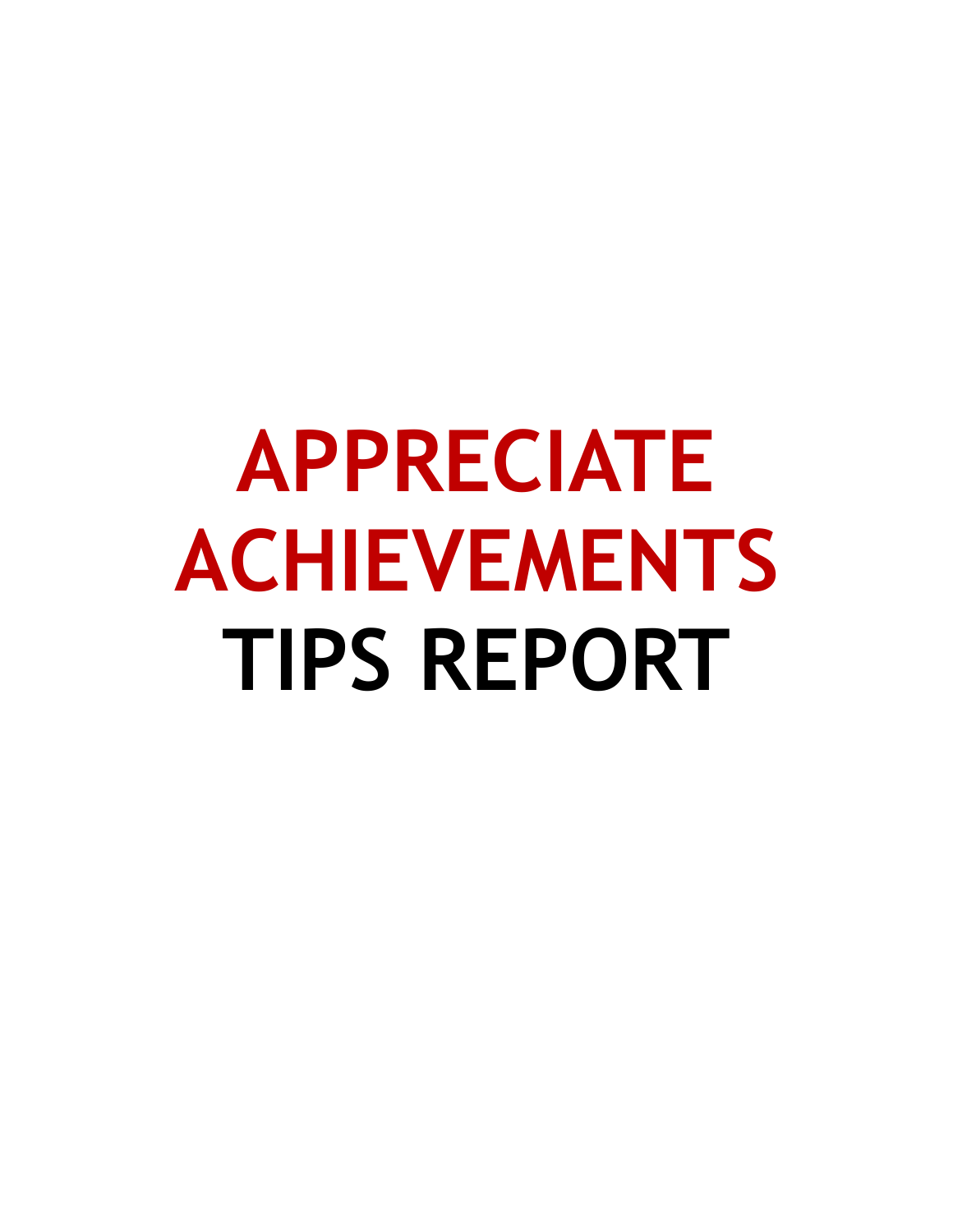# **APPRECIATE ACHIEVEMENTS TIPS REPORT**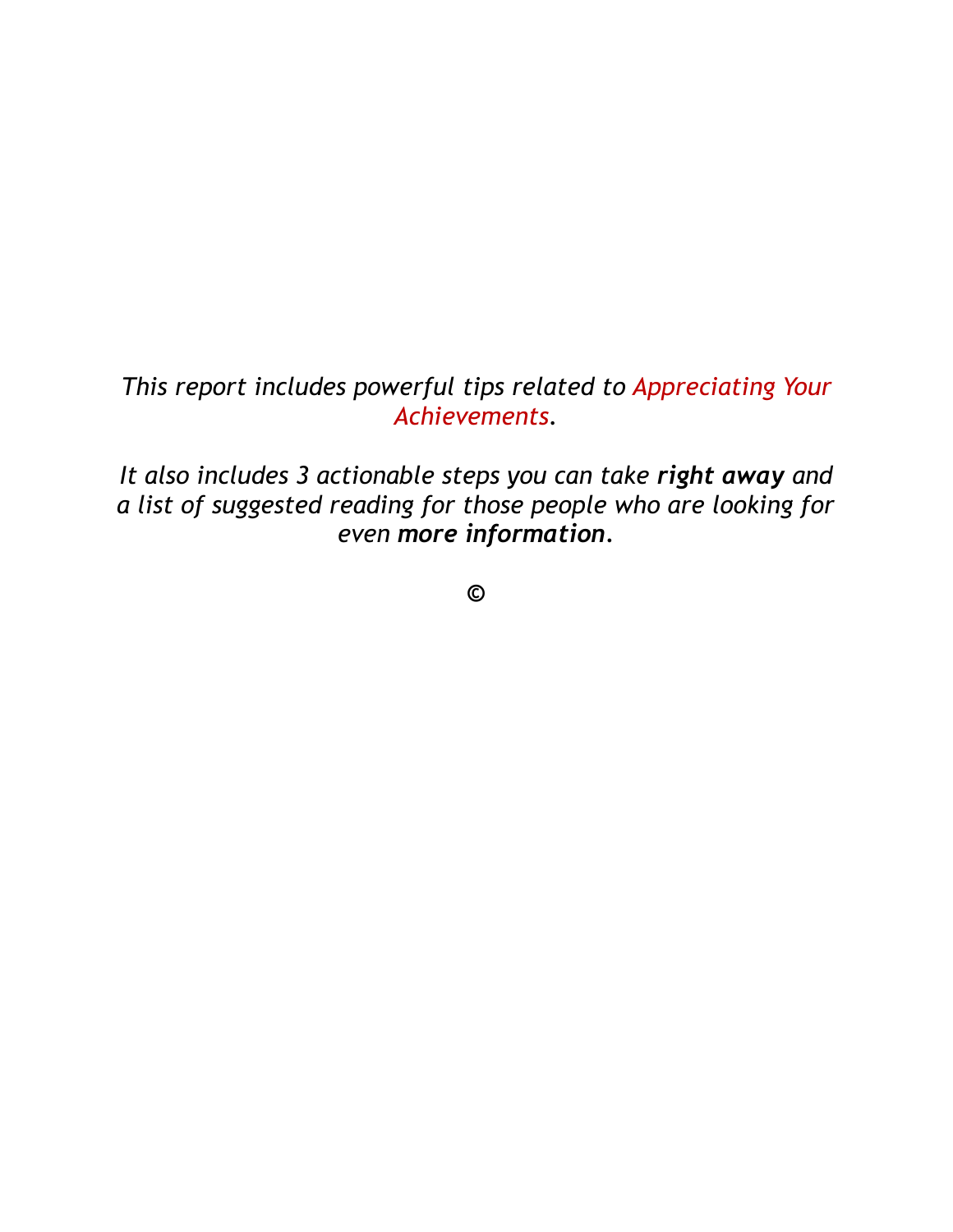#### *This report includes powerful tips related to Appreciating Your Achievements.*

*It also includes 3 actionable steps you can take right away and a list of suggested reading for those people who are looking for even more information.* 

**©**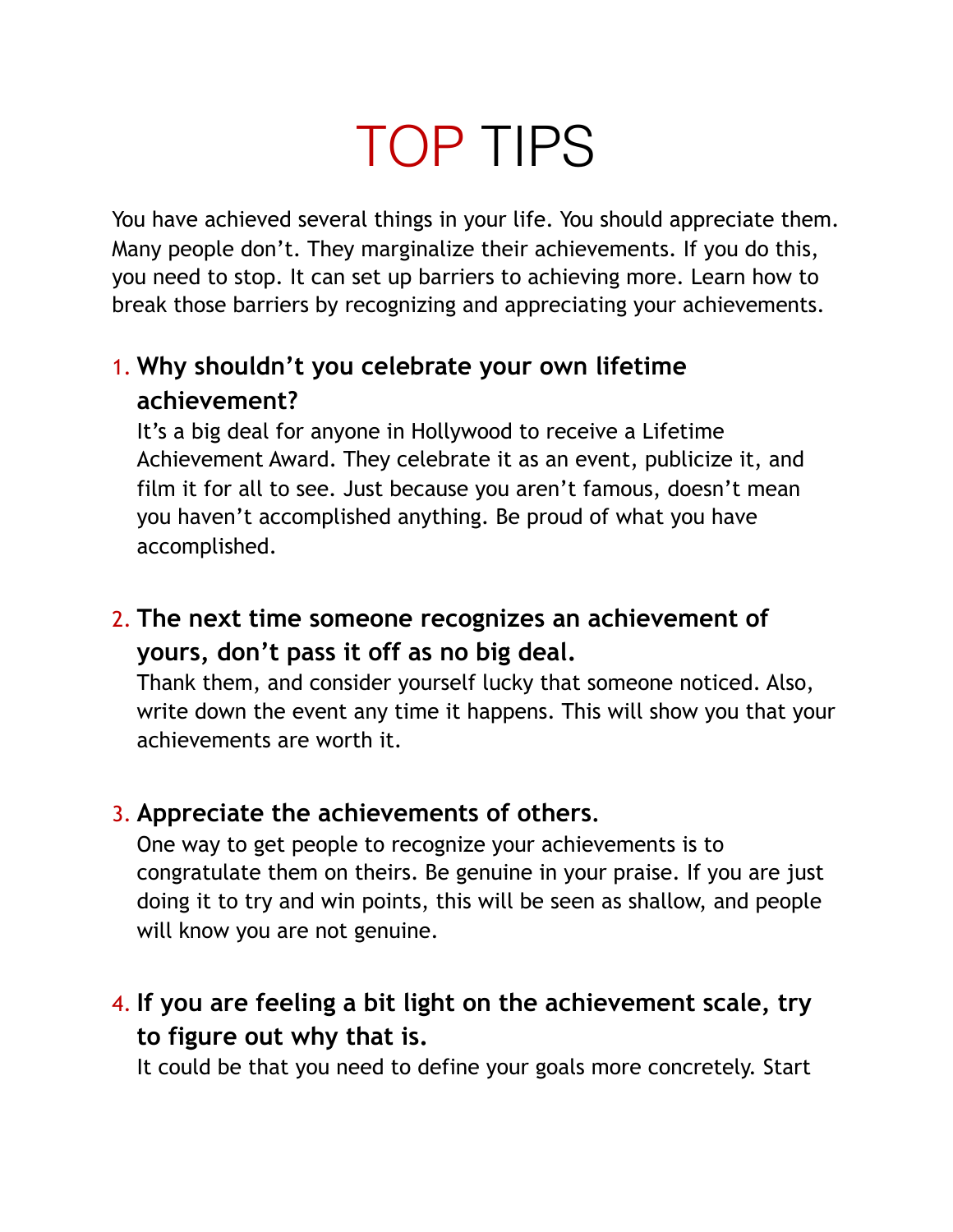# TOP TIPS

You have achieved several things in your life. You should appreciate them. Many people don't. They marginalize their achievements. If you do this, you need to stop. It can set up barriers to achieving more. Learn how to break those barriers by recognizing and appreciating your achievements.

# 1. **Why shouldn't you celebrate your own lifetime achievement?**

It's a big deal for anyone in Hollywood to receive a Lifetime Achievement Award. They celebrate it as an event, publicize it, and film it for all to see. Just because you aren't famous, doesn't mean you haven't accomplished anything. Be proud of what you have accomplished.

# 2. **The next time someone recognizes an achievement of yours, don't pass it off as no big deal.**

Thank them, and consider yourself lucky that someone noticed. Also, write down the event any time it happens. This will show you that your achievements are worth it.

### 3. **Appreciate the achievements of others.**

One way to get people to recognize your achievements is to congratulate them on theirs. Be genuine in your praise. If you are just doing it to try and win points, this will be seen as shallow, and people will know you are not genuine.

# 4. **If you are feeling a bit light on the achievement scale, try to figure out why that is.**

It could be that you need to define your goals more concretely. Start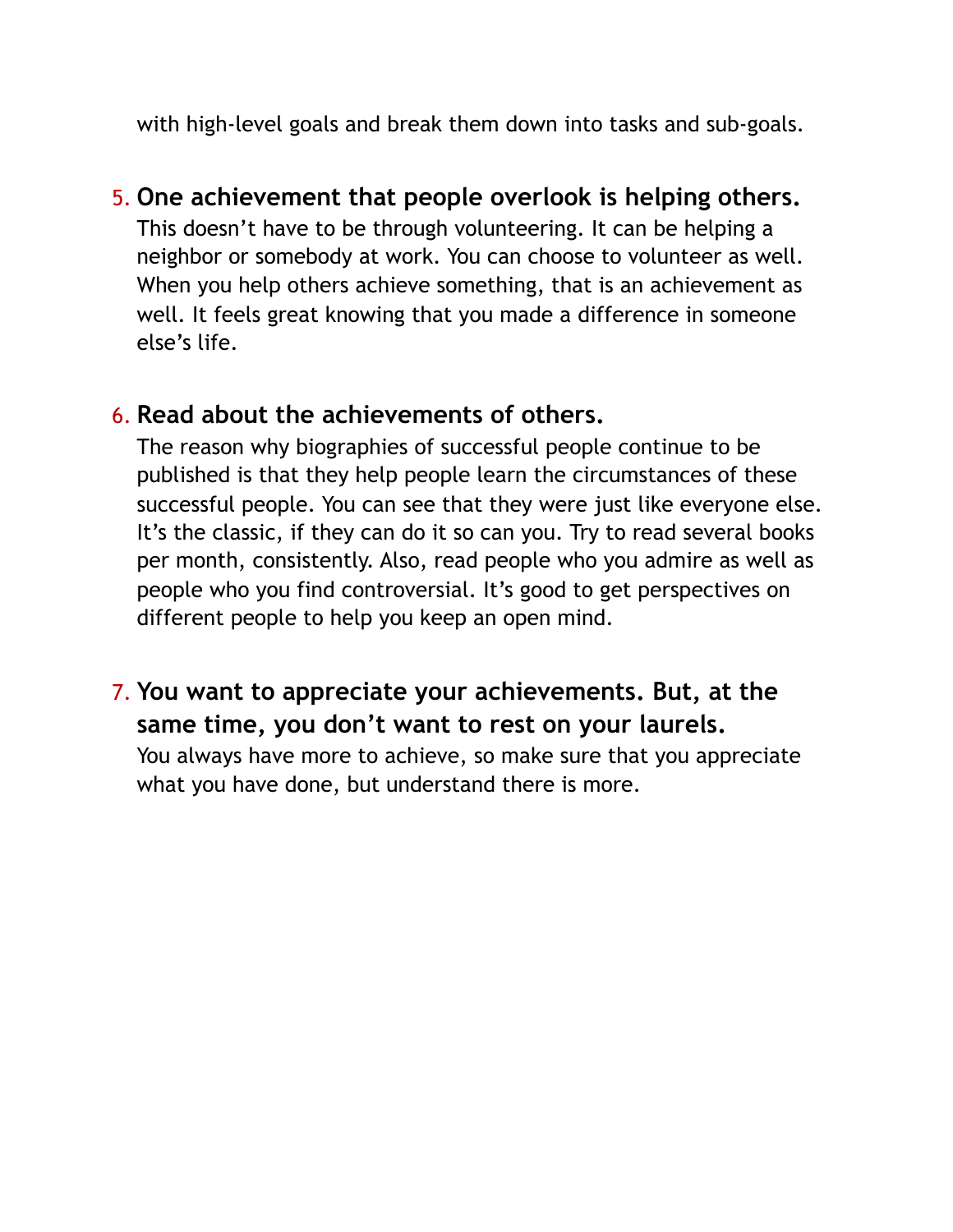with high-level goals and break them down into tasks and sub-goals.

#### 5. **One achievement that people overlook is helping others.**

This doesn't have to be through volunteering. It can be helping a neighbor or somebody at work. You can choose to volunteer as well. When you help others achieve something, that is an achievement as well. It feels great knowing that you made a difference in someone else's life.

#### 6. **Read about the achievements of others.**

The reason why biographies of successful people continue to be published is that they help people learn the circumstances of these successful people. You can see that they were just like everyone else. It's the classic, if they can do it so can you. Try to read several books per month, consistently. Also, read people who you admire as well as people who you find controversial. It's good to get perspectives on different people to help you keep an open mind.

### 7. **You want to appreciate your achievements. But, at the same time, you don't want to rest on your laurels.**

You always have more to achieve, so make sure that you appreciate what you have done, but understand there is more.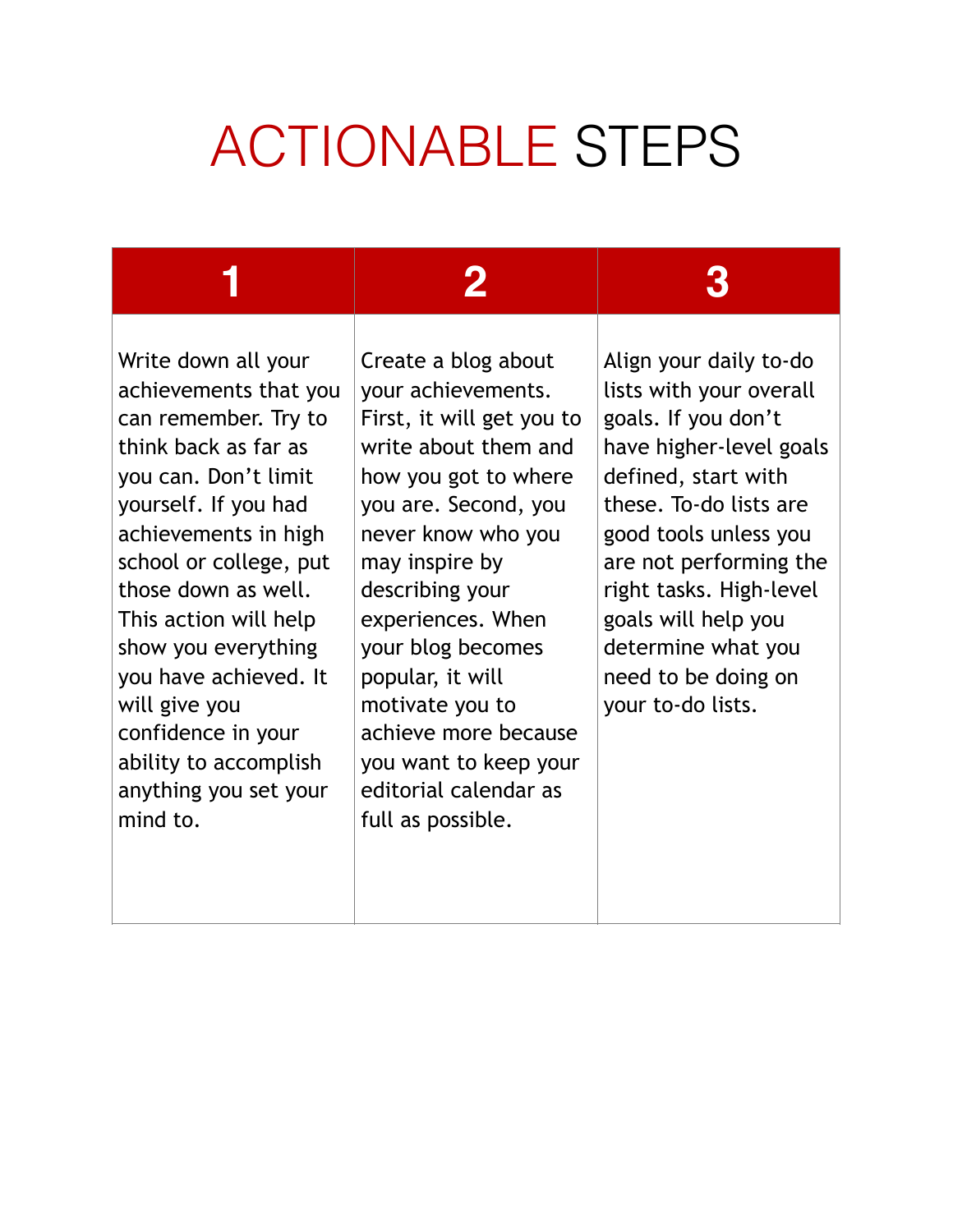# ACTIONABLE STEPS

Write down all your achievements that you can remember. Try to think back as far as you can. Don't limit yourself. If you had achievements in high school or college, put those down as well. This action will help show you everything you have achieved. It will give you confidence in your ability to accomplish anything you set your mind to.

**1 2 3**

Create a blog about your achievements. First, it will get you to write about them and how you got to where you are. Second, you never know who you may inspire by describing your experiences. When your blog becomes popular, it will motivate you to achieve more because you want to keep your editorial calendar as full as possible.

Align your daily to-do lists with your overall goals. If you don't have higher-level goals defined, start with these. To-do lists are good tools unless you are not performing the right tasks. High-level goals will help you determine what you need to be doing on your to-do lists.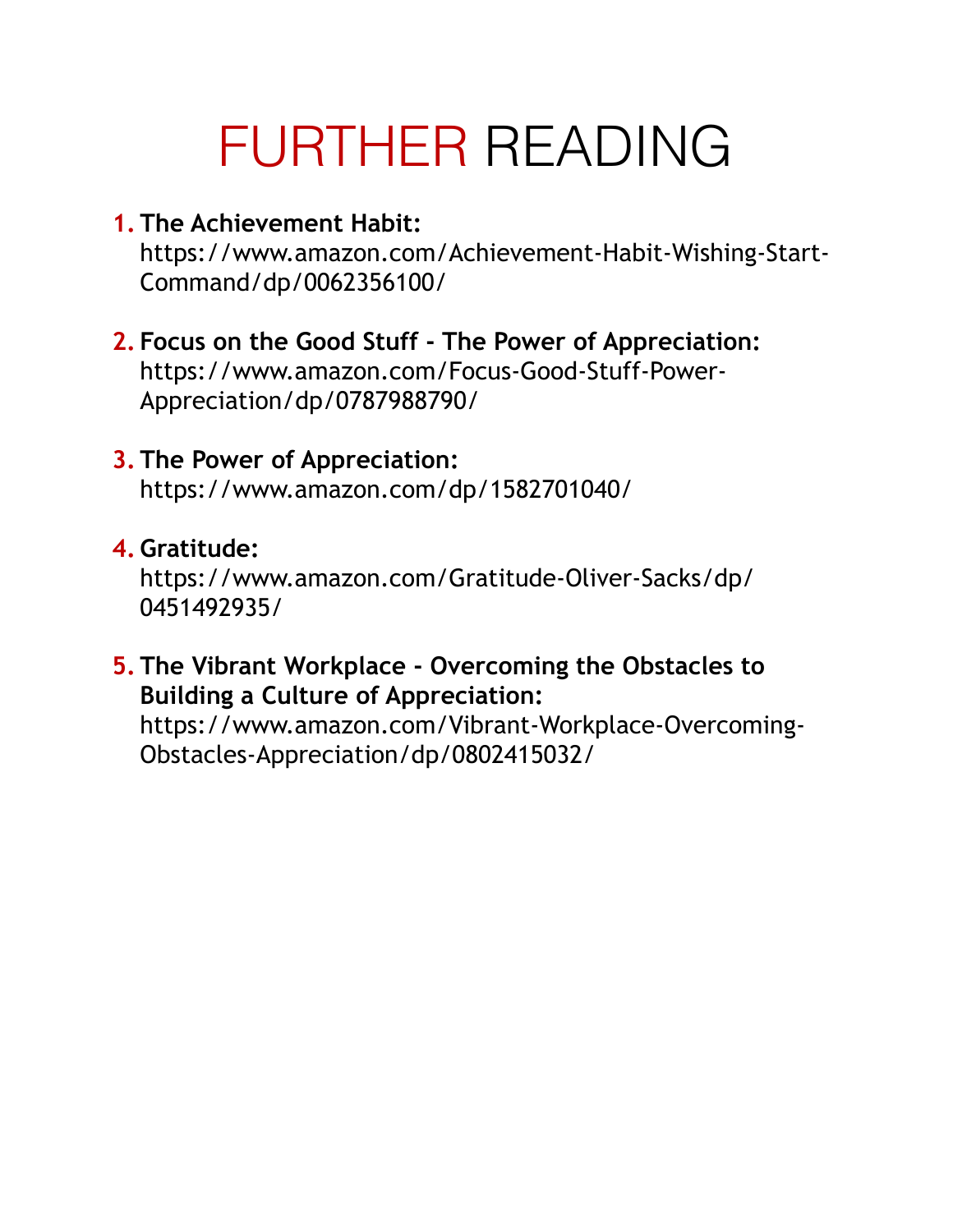# FURTHER READING

- **1. The Achievement Habit:**  https://www.amazon.com/Achievement-Habit-Wishing-Start-Command/dp/0062356100/
- **2. Focus on the Good Stuff The Power of Appreciation:**  https://www.amazon.com/Focus-Good-Stuff-Power-Appreciation/dp/0787988790/

#### **3. The Power of Appreciation:**

https://www.amazon.com/dp/1582701040/

#### **4. Gratitude:**

https://www.amazon.com/Gratitude-Oliver-Sacks/dp/ 0451492935/

#### **5. The Vibrant Workplace - Overcoming the Obstacles to Building a Culture of Appreciation:**

https://www.amazon.com/Vibrant-Workplace-Overcoming-Obstacles-Appreciation/dp/0802415032/